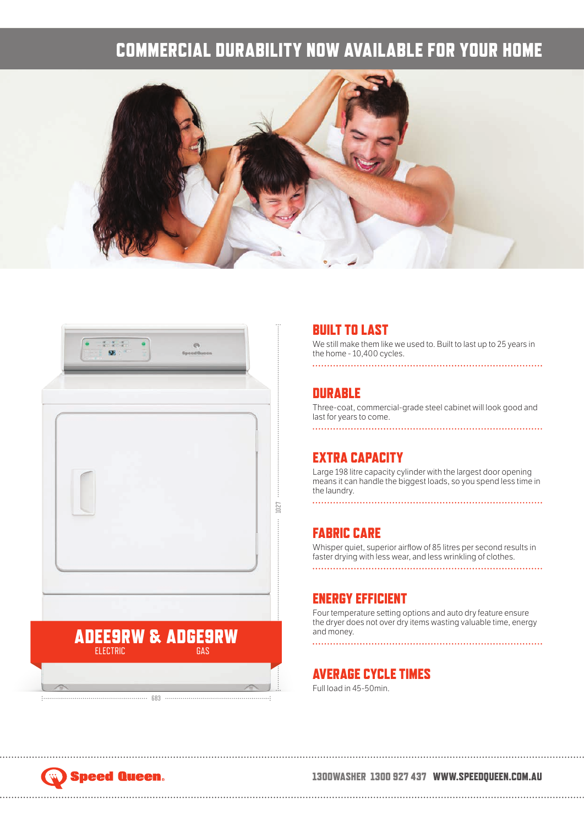## COMMERCIAL DURABILITY NOW AVAILABLE FOR YOUR HOME





#### BUILT TO LAST

We still make them like we used to. Built to last up to 25 years in the home - 10,400 cycles. 

#### **DURABLE**

Three-coat, commercial-grade steel cabinet will look good and last for years to come. 

#### EXTRA CAPACITY

Large 198 litre capacity cylinder with the largest door opening means it can handle the biggest loads, so you spend less time in the laundry.

#### FABRIC CARE

Whisper quiet, superior airflow of 85 litres per second results in faster drying with less wear, and less wrinkling of clothes.

#### ENERGY EFFICIENT

Four temperature setting options and auto dry feature ensure the dryer does not over dry items wasting valuable time, energy and money. 

#### AVERAGE CYCLE TIMES

Full load in 45-50min.

# **Speed Queen.**

#### 1300WASHER 1300 927 437 WWW.SPEEDQUEEN.COM.AU